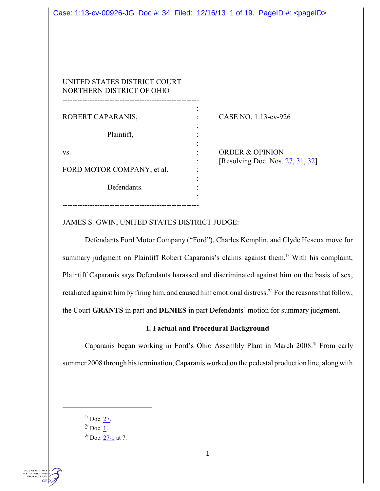|                                                           | Case: 1:13-cv-00926-JG Doc #: 34 Filed: 12/16/13 1 of 19. PageID #: < pageID> |
|-----------------------------------------------------------|-------------------------------------------------------------------------------|
|                                                           |                                                                               |
|                                                           |                                                                               |
|                                                           |                                                                               |
| UNITED STATES DISTRICT COURT<br>NORTHERN DISTRICT OF OHIO |                                                                               |
| ROBERT CAPARANIS,                                         | CASE NO. 1:13-cv-926                                                          |
| Plaintiff,                                                |                                                                               |
| VS.                                                       | <b>ORDER &amp; OPINION</b>                                                    |
| FORD MOTOR COMPANY, et al.                                | [Resolving Doc. Nos. 27, 31, 32]                                              |
| Defendants.                                               |                                                                               |
|                                                           |                                                                               |

JAMES S. GWIN, UNITED STATES DISTRICT JUDGE:

Defendants Ford Motor Company ("Ford"), Charles Kemplin, and Clyde Hescox move for summary judgment on Plaintiff Robert Caparanis's claims against them.<sup> $1/$ </sup> With his complaint, Plaintiff Caparanis says Defendants harassed and discriminated against him on the basis of sex, retaliated against him by firing him, and caused him emotional distress.<sup>2/</sup> For the reasons that follow, the Court **GRANTS** in part and **DENIES** in part Defendants' motion for summary judgment.

## **I. Factual and Procedural Background**

Caparanis began working in Ford's Ohio Assembly Plant in March  $2008.<sup>3</sup>$  From early summer 2008 through his termination, Caparanis worked on the pedestal production line, along with

- $\frac{1}{2}$  Doc. [27](https://ecf.ohnd.uscourts.gov/doc1/14107037251).
- $2^{2}$  Doc. [1](https://ecf.ohnd.uscourts.gov/doc1/14106757546).
- $\frac{3}{2}$  Doc. [27-1](https://ecf.ohnd.uscourts.gov/doc1/14117037252) at 7.

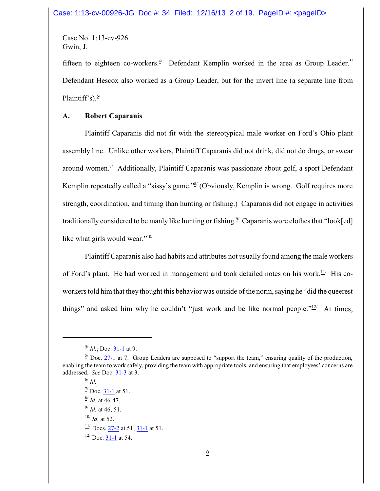fifteen to eighteen co-workers.<sup> $4/2$ </sup> Defendant Kemplin worked in the area as Group Leader.<sup>5/</sup> Defendant Hescox also worked as a Group Leader, but for the invert line (a separate line from Plaintiff's). $\frac{6}{ }$ 

## **A. Robert Caparanis**

Plaintiff Caparanis did not fit with the stereotypical male worker on Ford's Ohio plant assembly line. Unlike other workers, Plaintiff Caparanis did not drink, did not do drugs, or swear around women.<sup> $\mathbb{I}^{\prime}$ </sup> Additionally, Plaintiff Caparanis was passionate about golf, a sport Defendant Kemplin repeatedly called a "sissy's game."<sup>8/</sup> (Obviously, Kemplin is wrong. Golf requires more strength, coordination, and timing than hunting or fishing.) Caparanis did not engage in activities traditionally considered to be manly like hunting or fishing. $\frac{9}{7}$  Caparanis wore clothes that "look[ed] like what girls would wear." $\frac{10}{10}$ 

Plaintiff Caparanis also had habits and attributes not usually found among the male workers of Ford's plant. He had worked in management and took detailed notes on his work.<sup>11/</sup> His coworkers told him that they thought this behavior was outside of the norm, saying he "did the queerest things" and asked him why he couldn't "just work and be like normal people." $\frac{12}{2}$  At times,

 $^{4/}$  *Id.*; Doc. [31-1](https://ecf.ohnd.uscourts.gov/doc1/14117063930) at 9.

 $\frac{5}{1}$  Doc. [27-1](https://ecf.ohnd.uscourts.gov/doc1/14117037252) at 7. Group Leaders are supposed to "support the team," ensuring quality of the production, enabling the team to work safely, providing the team with appropriate tools, and ensuring that employees' concerns are addressed. *See* Doc. [31-3](https://ecf.ohnd.uscourts.gov/doc1/14117063932) at 3.

<sup>6/</sup> *Id.*  $\frac{7}{1}$  Doc.  $\frac{31-1}{1}$  at 51. 8/ *Id.* at 46-47. 9/ *Id.* at 46, 51.  $\frac{10}{1}$ *Id.* at 52.  $\frac{11}{1}$  Docs.  $\frac{27-2}{1}$  $\frac{27-2}{1}$  $\frac{27-2}{1}$  at 51;  $\frac{31-1}{1}$  $\frac{31-1}{1}$  $\frac{31-1}{1}$  at 51.  $\frac{12}{1}$  Doc.  $\frac{31-1}{1}$  at 54.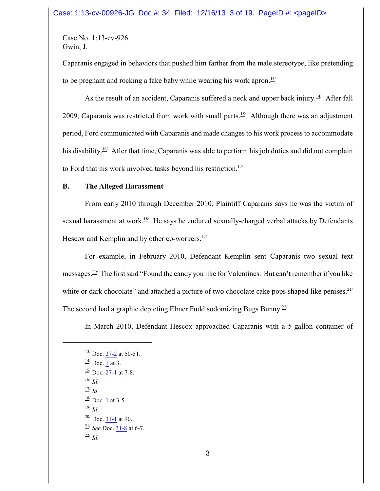Caparanis engaged in behaviors that pushed him farther from the male stereotype, like pretending to be pregnant and rocking a fake baby while wearing his work apron. $13$ /

As the result of an accident, Caparanis suffered a neck and upper back injury. $\frac{14}{7}$  After fall 2009, Caparanis was restricted from work with small parts.<sup>15/</sup> Although there was an adjustment period, Ford communicated with Caparanis and made changes to his work process to accommodate his disability.<sup>16</sup> After that time, Caparanis was able to perform his job duties and did not complain to Ford that his work involved tasks beyond his restriction. $17/1$ 

#### **B. The Alleged Harassment**

From early 2010 through December 2010, Plaintiff Caparanis says he was the victim of sexual harassment at work.<sup>18/</sup> He says he endured sexually-charged verbal attacks by Defendants Hescox and Kemplin and by other co-workers. $19/1$ 

For example, in February 2010, Defendant Kemplin sent Caparanis two sexual text messages. $20/$  The first said "Found the candy you like for Valentines. But can't remember if you like white or dark chocolate" and attached a picture of two chocolate cake pops shaped like penises. $21/$ The second had a graphic depicting Elmer Fudd sodomizing Bugs Bunny.<sup>22/</sup>

In March 2010, Defendant Hescox approached Caparanis with a 5-gallon container of

 $\frac{13}{12}$  Doc.  $\frac{27-2}{12}$  at 50-51.  $\frac{14}{1}$  Doc. <u>1</u> at 3.  $\frac{15}{10}$  Doc. [27-1](https://ecf.ohnd.uscourts.gov/doc1/14117037252) at 7-8. 16/ *Id.* 17/  *Id.*  $\frac{18}{1}$  Doc. [1](https://ecf.ohnd.uscourts.gov/doc1/14106757546) at 3-5. 19/ *Id.*  $\frac{20}{1}$  Doc.  $\frac{31-1}{1}$  at 90. 21/ *See* Doc. [31-8](https://ecf.ohnd.uscourts.gov/doc1/14117063937) at 6-7. 22/ *Id.*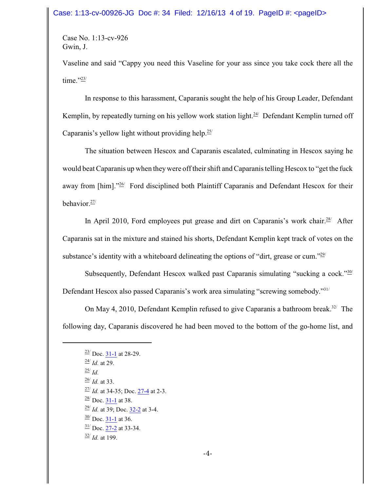Vaseline and said "Cappy you need this Vaseline for your ass since you take cock there all the time." $23/$ 

In response to this harassment, Caparanis sought the help of his Group Leader, Defendant Kemplin, by repeatedly turning on his yellow work station light.<sup>24/</sup> Defendant Kemplin turned off Caparanis's yellow light without providing help. $25/$ 

The situation between Hescox and Caparanis escalated, culminating in Hescox saying he would beat Caparanis up when theywere off their shift and Caparanis telling Hescox to "get the fuck away from [him]."<sup>26/</sup> Ford disciplined both Plaintiff Caparanis and Defendant Hescox for their behavior.27/

In April 2010, Ford employees put grease and dirt on Caparanis's work chair.<sup>28/</sup> After Caparanis sat in the mixture and stained his shorts, Defendant Kemplin kept track of votes on the substance's identity with a whiteboard delineating the options of "dirt, grease or cum." $29/$ 

Subsequently, Defendant Hescox walked past Caparanis simulating "sucking a cock."<sup>30/</sup> Defendant Hescox also passed Caparanis's work area simulating "screwing somebody."31/

On May 4, 2010, Defendant Kemplin refused to give Caparanis a bathroom break.<sup>32/</sup> The following day, Caparanis discovered he had been moved to the bottom of the go-home list, and

 $\frac{23}{1}$  Doc.  $\frac{31-1}{1}$  at 28-29. 24/ *Id.* at 29. 25/ *Id.* 26/ *Id.* at 33.  $\frac{27}{1}$  *Id.* at 34-35; Doc. <u>[27-4](https://ecf.ohnd.uscourts.gov/doc1/14117037255)</u> at 2-3.  $\frac{28}{1}$  Doc.  $\frac{31-1}{1}$  at 38. <sup>29/</sup> *Id.* at 39; Doc. <u>32-2</u> at 3-4.  $\frac{30}{1}$  Doc.  $\frac{31-1}{1}$  at 36.  $\frac{31}{1}$  Doc. [27-2](https://ecf.ohnd.uscourts.gov/doc1/14117037253) at 33-34.

<sup>32/</sup> *Id.* at 199.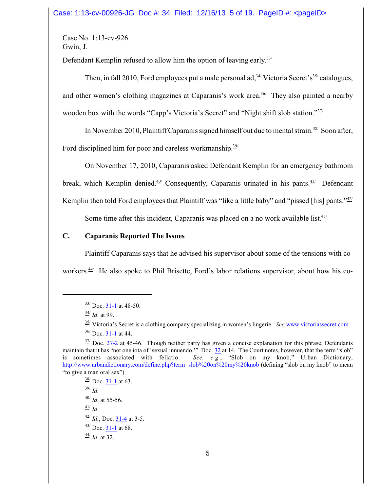Defendant Kemplin refused to allow him the option of leaving early.<sup>33/</sup>

Then, in fall 2010, Ford employees put a male personal ad,<sup>34/</sup> Victoria Secret's<sup>35/</sup> catalogues, and other women's clothing magazines at Caparanis's work area.<sup>36/</sup> They also painted a nearby wooden box with the words "Capp's Victoria's Secret" and "Night shift slob station."37/

In November 2010, Plaintiff Caparanis signed himself out due to mental strain.<sup>38/</sup> Soon after,

Ford disciplined him for poor and careless workmanship.<sup>39/</sup>

On November 17, 2010, Caparanis asked Defendant Kemplin for an emergency bathroom

break, which Kemplin denied.<sup>40</sup> Consequently, Caparanis urinated in his pants.<sup>41</sup> Defendant

Kemplin then told Ford employees that Plaintiff was "like a little baby" and "pissed [his] pants."<sup>42/</sup>

Some time after this incident, Caparanis was placed on a no work available list. $43/$ 

### **C. Caparanis Reported The Issues**

Plaintiff Caparanis says that he advised his supervisor about some of the tensions with co-

workers.44/ He also spoke to Phil Brisette, Ford's labor relations supervisor, about how his co-

 $\frac{38}{1}$  Doc.  $\frac{31-1}{1}$  at 63. 39/ *Id.*  $\frac{40}{1}$  *Id.* at 55-56. 41/ *Id.*  $\frac{42}{1}$ *Id.*; Doc. [31-4](https://ecf.ohnd.uscourts.gov/doc1/14117063933) at 3-5.  $\frac{43}{ }$  Doc.  $\frac{31-1}{ }$  at 68. 44/ *Id.* at 32.

 $\frac{33}{1}$  Doc.  $\frac{31-1}{1}$  at 48-50.

<sup>34/</sup> *Id.* at 99.

<sup>35/</sup> Victoria's Secret is a clothing company specializing in women's lingerie. *See* [www.victoriassecret.com.](http://www.victoriassecret.com.)

 $\frac{36}{ }$  Doc.  $\frac{31-1}{ }$  at 44.

 $\frac{37}{2}$  Doc. [27-2](https://ecf.ohnd.uscourts.gov/doc1/14117037253) at 45-46. Though neither party has given a concise explanation for this phrase, Defendants maintain that it has "not one iota of 'sexual innuendo." Doc. [32](https://ecf.ohnd.uscourts.gov/doc1/14107076826) at 14. The Court notes, however, that the term "slob" is sometimes associated with fellatio. *See, e.g.*, "Slob on my knob," Urban Dictionary, [http://www.urbandictionary.com/define.php?term=slob%20on%20my%20knob](http://www.urbandictionary.com/define.php?term=slob%20on%20my%20knob%20) (defining "slob on my knob" to mean "to give a man oral sex")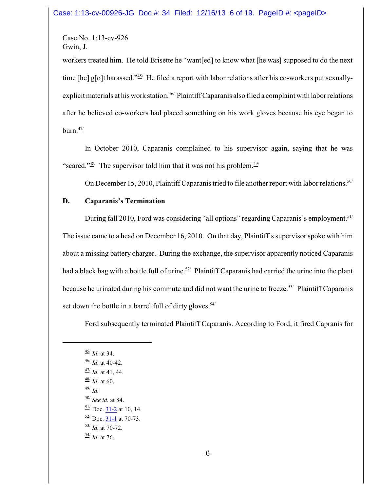workers treated him. He told Brisette he "want[ed] to know what [he was] supposed to do the next time [he] g[o]t harassed." $45$ <sup>'</sup> He filed a report with labor relations after his co-workers put sexuallyexplicit materials at his work station.<sup>46/</sup> Plaintiff Caparanis also filed a complaint with labor relations after he believed co-workers had placed something on his work gloves because his eye began to  $burn.^{47/2}$ 

In October 2010, Caparanis complained to his supervisor again, saying that he was "scared."<sup>48/</sup> The supervisor told him that it was not his problem.<sup>49/</sup>

On December 15, 2010, Plaintiff Caparanis tried to file another report with labor relations.<sup>50/</sup>

### **D. Caparanis's Termination**

During fall 2010, Ford was considering "all options" regarding Caparanis's employment. $51/$ The issue came to a head on December 16, 2010. On that day, Plaintiff's supervisor spoke with him about a missing battery charger. During the exchange, the supervisor apparently noticed Caparanis had a black bag with a bottle full of urine.<sup>52/</sup> Plaintiff Caparanis had carried the urine into the plant because he urinated during his commute and did not want the urine to freeze.<sup>53/</sup> Plaintiff Caparanis set down the bottle in a barrel full of dirty gloves.<sup>54/</sup>

Ford subsequently terminated Plaintiff Caparanis. According to Ford, it fired Capranis for

45/ *Id.* at 34. 46/ *Id.* at 40-42. 47/ *Id.* at 41, 44. 48/ *Id.* at 60. 49/ *Id.* 50/ *See id.* at 84.  $\frac{51}{1}$  Doc.  $\frac{31-2}{2}$  at 10, 14.  $\frac{52}{ }$  Doc.  $\frac{31-1}{ }$  at 70-73. 53/ *Id.* at 70-72. 54/ *Id.* at 76.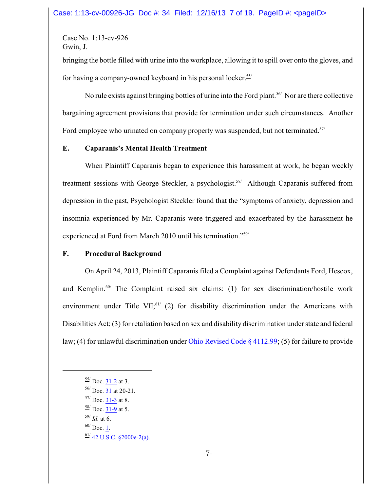bringing the bottle filled with urine into the workplace, allowing it to spill over onto the gloves, and for having a company-owned keyboard in his personal locker. $55/$ 

No rule exists against bringing bottles of urine into the Ford plant.<sup>56/</sup> Nor are there collective bargaining agreement provisions that provide for termination under such circumstances. Another Ford employee who urinated on company property was suspended, but not terminated.<sup>57/</sup>

## **E. Caparanis's Mental Health Treatment**

When Plaintiff Caparanis began to experience this harassment at work, he began weekly treatment sessions with George Steckler, a psychologist.<sup>58/</sup> Although Caparanis suffered from depression in the past, Psychologist Steckler found that the "symptoms of anxiety, depression and insomnia experienced by Mr. Caparanis were triggered and exacerbated by the harassment he experienced at Ford from March 2010 until his termination."59/

### **F. Procedural Background**

On April 24, 2013, Plaintiff Caparanis filed a Complaint against Defendants Ford, Hescox, and Kemplin.<sup>60/</sup> The Complaint raised six claims: (1) for sex discrimination/hostile work environment under Title VII; $61/2$  for disability discrimination under the Americans with Disabilities Act; (3) for retaliation based on sex and disability discrimination under state and federal law; (4) for unlawful discrimination under [Ohio Revised Code §](http://web2.westlaw.com/find/default.wl?cite=Ohio+Revised+Code+%C2%A7+4112.99&rs=WLW13.10&vr=2.0&rp=%2ffind%2fdefault.wl&sv=Split&fn=_top&mt=Westlaw) 4112.99; (5) for failure to provide

- $\frac{57}{1}$  Doc.  $\frac{31-3}{1}$  at 8.
- $\frac{58}{1}$  Doc.  $\frac{31-9}{1}$  at 5.
- 59/ *Id.* at 6.
- $\frac{60}{ }$  Doc. [1](https://ecf.ohnd.uscourts.gov/doc1/14106757546).
- $\frac{61}{1}$  [42 U.S.C. §2000e-2\(a\).](http://web2.westlaw.com/find/default.wl?cite=+42+U.S.C.+%C2%A72000e-2&rs=WLW13.10&vr=2.0&rp=%2ffind%2fdefault.wl&sv=Split&fn=_top&mt=Westlaw)

 $\frac{55}{}{\rm Doc.}$   $\frac{31-2}{\rm at 3.}$ 

 $\frac{56}{1}$  Doc. [31](https://ecf.ohnd.uscourts.gov/doc1/14107063929) at 20-21.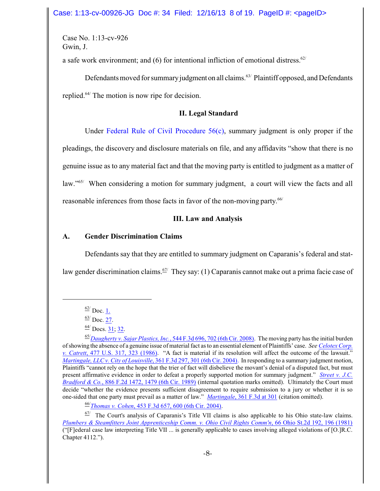a safe work environment; and  $(6)$  for intentional infliction of emotional distress.<sup>62/</sup>

Defendants moved for summary judgment on all claims.<sup>63/</sup> Plaintiff opposed, and Defendants replied.<sup>64</sup> The motion is now ripe for decision.

### **II. Legal Standard**

Under Federal Rule of Civil Procedure  $56(c)$ , summary judgment is only proper if the pleadings, the discovery and disclosure materials on file, and any affidavits "show that there is no genuine issue as to any material fact and that the moving party is entitled to judgment as a matter of law."<sup>65/</sup> When considering a motion for summary judgment, a court will view the facts and all reasonable inferences from those facts in favor of the non-moving party.<sup>66/</sup>

## **III. Law and Analysis**

## **A. Gender Discrimination Claims**

Defendants say that they are entitled to summary judgment on Caparanis's federal and stat-

law gender discrimination claims.<sup>67/</sup> They say: (1) Caparanis cannot make out a prima facie case of

 $\frac{62}{ }$  Doc. 1.

 $\frac{63}{ }$  Doc. [27](https://ecf.ohnd.uscourts.gov/doc1/14117037251).

 $\frac{64}{1}$  Docs. [31](https://ecf.ohnd.circ6.dcn/cgi-bin/DisplayReceipt.pl?200063,101); [32](https://ecf.ohnd.uscourts.gov/doc1/14107076826).

<sup>65/</sup>*[Daugherty v. Sajar Plastics, Inc.](https://a.next.westlaw.com/Document/Ic812aabb9b6d11dd9876f446780b7bdc/View/FullText.html)*, 544 F.3d 696, 702 (6th Cir. 2008). The moving party has the initial burden ofshowing the absence of a genuine issue of material fact as to an essential element of Plaintiffs' case. *See [Celotex Corp.](https://a.next.westlaw.com/Document/I81e77b109c9d11d9bdd1cfdd544ca3a4/View/FullText.html) [v. Catrett](https://a.next.westlaw.com/Document/I81e77b109c9d11d9bdd1cfdd544ca3a4/View/FullText.html)*, 477 U.S. 317, 323 (1986). "A fact is material if its resolution will affect the outcome of the lawsuit." *[Martingale, LLC v. City of Louisville](http://www.westlaw.com/find/default.wl?rs=CLWP3.0&vr=2.0&cite=361+F.3d+297)*, 361 F.3d 297, 301 (6th Cir. 2004). In responding to a summary judgment motion, Plaintiffs "cannot rely on the hope that the trier of fact will disbelieve the movant's denial of a disputed fact, but must present affirmative evidence in order to defeat a properly supported motion for summary judgment." *[Street v.](https://a.next.westlaw.com/Document/Ie43b9e02971511d9bdd1cfdd544ca3a4/View/FullText.html) J.C. Bradford & Co.*, 886 F.2d [1472, 1479](https://a.next.westlaw.com/Document/Ie43b9e02971511d9bdd1cfdd544ca3a4/View/FullText.html) (6th Cir. 1989) (internal quotation marks omitted). Ultimately the Court must decide "whether the evidence presents sufficient disagreement to require submission to a jury or whether it is so one-sided that one party must prevail as a matter of law." *Martingale*[, 361 F.3d at 301](http://www.westlaw.com/find/default.wl?rs=CLWP3.0&vr=2.0&cite=361+F.3d+301) (citation omitted).

<sup>66/</sup> *Thomas v. Cohen*[, 453 F.3d 657, 600 \(6th Cir. 2004\)](http://www.westlaw.com/find/default.wl?rs=CLWP3.0&vr=2.0&cite=453+F.3d+657).

 $\frac{67}{ }$  The Court's analysis of Caparanis's Title VII claims is also applicable to his Ohio state-law claims. *Plumbers & [Steamfitters Joint Apprenticeship](http://web2.westlaw.com/find/default.wl?cite=421+N.E.2d+128%2c+131+&rs=WLW13.10&vr=2.0&rp=%2ffind%2fdefault.wl&sv=Split&fn=_top&mt=Westlaw) Comm. v. Ohio Civil Rights Comm'n*, 66 Ohio St.2d 192, 196 (1981) ("[F]ederal case law interpreting Title VII ... is generally applicable to cases involving alleged violations of [O.]R.C. Chapter 4112.").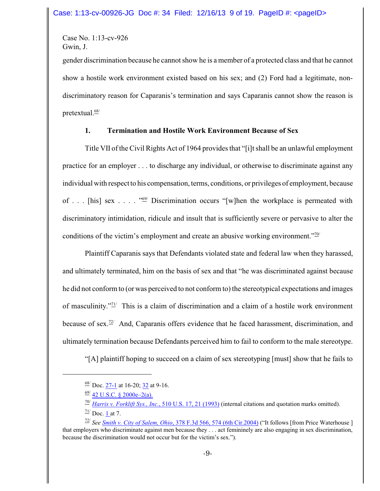gender discrimination because he cannot show he is a member of a protected class and that he cannot show a hostile work environment existed based on his sex; and (2) Ford had a legitimate, nondiscriminatory reason for Caparanis's termination and says Caparanis cannot show the reason is pretextual.<sup>68/</sup>

### **1. Termination and Hostile Work Environment Because of Sex**

Title VII of the Civil Rights Act of 1964 provides that "[i]t shall be an unlawful employment practice for an employer . . . to discharge any individual, or otherwise to discriminate against any individual with respect to his compensation, terms, conditions, or privileges of employment, because of . . . [his] sex . . . . "<sup>69</sup> Discrimination occurs "[w]hen the workplace is permeated with discriminatory intimidation, ridicule and insult that is sufficiently severe or pervasive to alter the conditions of the victim's employment and create an abusive working environment." $\frac{70}{10}$ 

Plaintiff Caparanis says that Defendants violated state and federal law when they harassed, and ultimately terminated, him on the basis of sex and that "he was discriminated against because he did not conform to (or was perceived to not conform to) the stereotypical expectations and images of masculinity." $\frac{1}{2}$  This is a claim of discrimination and a claim of a hostile work environment because of sex.<sup> $72/2$ </sup> And, Caparanis offers evidence that he faced harassment, discrimination, and ultimately termination because Defendants perceived him to fail to conform to the male stereotype.

"[A] plaintiff hoping to succeed on a claim of sex stereotyping [must] show that he fails to

 $\frac{68}{1}$  Doc. [27-1](https://ecf.ohnd.uscourts.gov/doc1/14117037252) at 16-20; [32](https://ecf.ohnd.uscourts.gov/doc1/14107076826) at 9-16.

 $\frac{69}{42}$  U.S.C. § 2000e–2(a).

 $\frac{70}{10}$  *[Harris v. Forklift Sys., Inc.](http://www.westlaw.com/find/default.wl?rs=CLWP3.0&vr=2.0&cite=510+U.S.+17)*, 510 U.S. 17, 21 (1993) (internal citations and quotation marks omitted).  $\frac{71}{1}$  Doc. <u>1</u> at 7.

<sup>72/</sup> *See Smith v. City of Salem, Ohio*[, 378 F.3d 566, 574 \(6th Cir.2004\)](http://www.westlaw.com/find/default.wl?rs=CLWP3.0&vr=2.0&cite=378+F.3d+566) ("It follows [from Price Waterhouse ] that employers who discriminate against men because they . . . act femininely are also engaging in sex discrimination, because the discrimination would not occur but for the victim's sex.").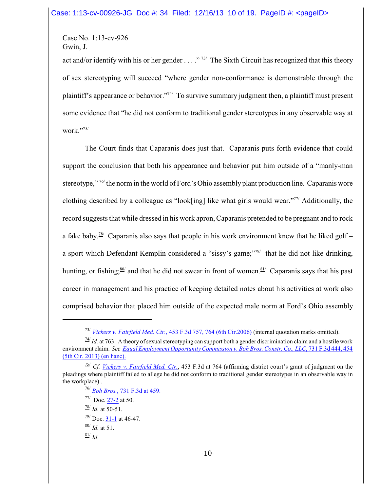act and/or identify with his or her gender . . . ."<sup>33/</sup> The Sixth Circuit has recognized that this theory of sex stereotyping will succeed "where gender non-conformance is demonstrable through the plaintiff's appearance or behavior."<sup> $\frac{74}{1}$ </sup> To survive summary judgment then, a plaintiff must present some evidence that "he did not conform to traditional gender stereotypes in any observable way at work."75/

The Court finds that Caparanis does just that. Caparanis puts forth evidence that could support the conclusion that both his appearance and behavior put him outside of a "manly-man stereotype,"<sup>76</sup> the norm in the world of Ford's Ohio assembly plant production line. Caparanis wore clothing described by a colleague as "look[ing] like what girls would wear."77/ Additionally, the record suggests that while dressed in his work apron, Caparanis pretended to be pregnant and to rock a fake baby.<sup>78/</sup> Caparanis also says that people in his work environment knew that he liked golf – a sport which Defendant Kemplin considered a "sissy's game;" $\frac{779}{7}$  that he did not like drinking, hunting, or fishing; <sup>80</sup> and that he did not swear in front of women.<sup>81/</sup> Caparanis says that his past career in management and his practice of keeping detailed notes about his activities at work also comprised behavior that placed him outside of the expected male norm at Ford's Ohio assembly

<sup>73/</sup> *Vickers v. Fairfield Med. Ctr.*[, 453 F.3d 757, 764 \(6th Cir.2006\)](http://www.westlaw.com/find/default.wl?rs=CLWP3.0&vr=2.0&cite=453+F.3d+757) (internal quotation marks omitted).

 $\frac{74}{1}$  *Id.* at 763. A theory of sexual stereotyping can support both a gender discrimination claim and a hostile work environment claim. *See Equal Employment [Opportunity Commission](https://a.next.westlaw.com/Document/Ic2fde9a729d511e38911df21cb42a557/View/FullText.html?navigationPath=Search%2Fv3%2Fsearch%2Fresults%2Fnavigation%2Fi0ad6040d00000142e34a0b41219d3496%3FNav%3DCASE%26fragmentIdentifier%3DIc2fde9a729d511e38911df21cb42a557%) v. Boh Bros. Constr. Co., LLC*, 731 F.3d 444, 454 [\(5th Cir. 2013\) \(en hanc\).](https://a.next.westlaw.com/Document/Ic2fde9a729d511e38911df21cb42a557/View/FullText.html?navigationPath=Search%2Fv3%2Fsearch%2Fresults%2Fnavigation%2Fi0ad6040d00000142e34a0b41219d3496%3FNav%3DCASE%26fragmentIdentifier%3DIc2fde9a729d511e38911df21cb42a557%)

<sup>75/</sup> *Cf. [Vickers v. Fairfield](http://web2.westlaw.com/find/default.wl?bhcp=1&cite=453+F.3d+757&MT=Westlaw&rs=CLWP3.0&ssl=y&strRecreate=no&sv=Split&vr=2.0) Med. Ctr.*, 453 F.3d at 764 (affirming district court's grant of judgment on the pleadings where plaintiff failed to allege he did not conform to traditional gender stereotypes in an observable way in the workplace) .

<sup>76/</sup> *Boh Bros.*[, 731 F.3d at 459.](https://a.next.westlaw.com/Document/Ic2fde9a729d511e38911df21cb42a557/View/FullText.html?navigationPath=Search%2Fv3%2Fsearch%2Fresults%2Fnavigation%2Fi0ad6040d00000142e34a0b41219d3496%3FNav%3DCASE%26fragmentIdentifier%3DIc2fde9a729d511e38911df21cb42a557%)

 $\frac{77}{10}$  Doc. [27-2](https://ecf.ohnd.uscourts.gov/doc1/14117037253) at 50.

 $\frac{78}{1}$ *Id.* at 50-51.

 $\frac{79}{2}$  Doc.  $\frac{31-1}{2}$  at 46-47.

<sup>80/</sup> *Id.* at 51.

<sup>81/</sup> *Id.*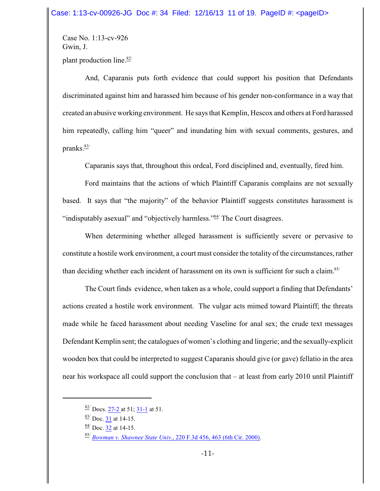Case No. 1:13-cv-926 Gwin, J. plant production line. $\frac{82}{ }$ 

And, Caparanis puts forth evidence that could support his position that Defendants discriminated against him and harassed him because of his gender non-conformance in a way that created an abusive working environment. He says that Kemplin, Hescox and others at Ford harassed him repeatedly, calling him "queer" and inundating him with sexual comments, gestures, and pranks. $\frac{83}{ }$ 

Caparanis says that, throughout this ordeal, Ford disciplined and, eventually, fired him.

Ford maintains that the actions of which Plaintiff Caparanis complains are not sexually based. It says that "the majority" of the behavior Plaintiff suggests constitutes harassment is "indisputably asexual" and "objectively harmless."<sup>84/</sup> The Court disagrees.

When determining whether alleged harassment is sufficiently severe or pervasive to constitute a hostile work environment, a court must consider the totality of the circumstances, rather than deciding whether each incident of harassment on its own is sufficient for such a claim.<sup>85/</sup>

The Court finds evidence, when taken as a whole, could support a finding that Defendants' actions created a hostile work environment. The vulgar acts mimed toward Plaintiff; the threats made while he faced harassment about needing Vaseline for anal sex; the crude text messages Defendant Kemplin sent; the catalogues of women's clothing and lingerie; and the sexually-explicit wooden box that could be interpreted to suggest Caparanis should give (or gave) fellatio in the area near his workspace all could support the conclusion that – at least from early 2010 until Plaintiff

 $\frac{82}{1}$  Docs. [27-2](https://ecf.ohnd.uscourts.gov/doc1/14117037253) at 51; [31-1](https://ecf.ohnd.uscourts.gov/doc1/14117063930) at 51.

 $\frac{83}{1}$  Doc.  $\frac{31}{1}$  at 14-15.

 $\frac{84}{1}$  Doc.  $\frac{32}{1}$  at 14-15.

<sup>85/</sup> *Bowman v. Shawnee State Univ.*[, 220 F.3d 456, 463 \(6th Cir. 2000\)](http://www.westlaw.com/find/default.wl?rs=CLWP3.0&vr=2.0&cite=220+F.3d+456).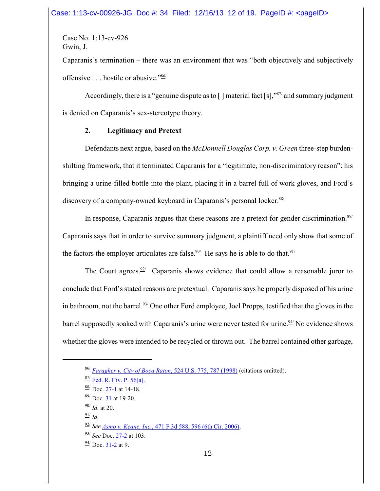Caparanis's termination – there was an environment that was "both objectively and subjectively offensive . . . hostile or abusive."<sup>86/</sup>

Accordingly, there is a "genuine dispute as to  $[$  ] material fact  $[s]$ ,  $\frac{1}{2}$  and summary judgment is denied on Caparanis's sex-stereotype theory.

### **2. Legitimacy and Pretext**

Defendants next argue, based on the *McDonnell Douglas Corp. v. Green* three-step burdenshifting framework, that it terminated Caparanis for a "legitimate, non-discriminatory reason": his bringing a urine-filled bottle into the plant, placing it in a barrel full of work gloves, and Ford's discovery of a company-owned keyboard in Caparanis's personal locker.<sup>88/</sup>

In response, Caparanis argues that these reasons are a pretext for gender discrimination.<sup>89/</sup> Caparanis says that in order to survive summary judgment, a plaintiff need only show that some of the factors the employer articulates are false.<sup>90</sup> He says he is able to do that.<sup>91</sup>

The Court agrees. $\frac{92}{2}$  Caparanis shows evidence that could allow a reasonable juror to conclude that Ford's stated reasons are pretextual. Caparanis says he properly disposed of his urine in bathroom, not the barrel.<sup>93/</sup> One other Ford employee, Joel Propps, testified that the gloves in the barrel supposedly soaked with Caparanis's urine were never tested for urine.<sup>94/</sup> No evidence shows whether the gloves were intended to be recycled or thrown out. The barrel contained other garbage,

91/ *Id.*

<sup>86/</sup> *[Faragher v. City of Boca Raton](http://www.westlaw.com/find/default.wl?rs=CLWP3.0&vr=2.0&cite=524+U.S.+775)*, 524 U.S. 775, 787 (1998) (citations omitted).

 $\frac{87}{1}$  [Fed. R. Civ. P. 56\(a\).](http://web2.westlaw.com/find/default.wl?cite=frcp+56&rs=WLW13.10&vr=2.0&rp=%2ffind%2fdefault.wl&sv=Split&fn=_top&mt=Westlaw)

 $\frac{88}{1}$  Doc. [27-1](https://ecf.ohnd.uscourts.gov/doc1/14117037252) at 14-18.

 $\frac{89}{1}$  Doc. [31](https://ecf.ohnd.uscourts.gov/doc1/14107063929) at 19-20.

<sup>90/</sup> *Id.* at 20.

<sup>92/</sup> *See Asmo v. Keane, Inc.*[, 471 F.3d 588, 596 \(6th Cir. 2006\)](http://www.westlaw.com/find/default.wl?rs=CLWP3.0&vr=2.0&cite=471+F.3d+588).

<sup>93/</sup> *See* Doc. [27-2](https://ecf.ohnd.uscourts.gov/doc1/14117037253) at 103.

 $\frac{94}{1}$  Doc. [31-2](https://ecf.ohnd.uscourts.gov/doc1/14117063931) at 9.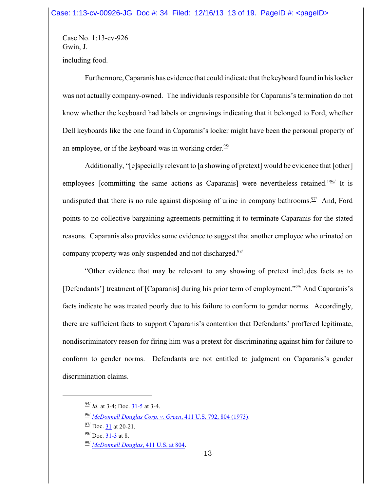Case No. 1:13-cv-926 Gwin, J. including food.

Furthermore, Caparanis has evidence that could indicate that the keyboard found in his locker was not actually company-owned. The individuals responsible for Caparanis's termination do not know whether the keyboard had labels or engravings indicating that it belonged to Ford, whether Dell keyboards like the one found in Caparanis's locker might have been the personal property of an employee, or if the keyboard was in working order. $\frac{95}{7}$ 

Additionally, "[e]specially relevant to [a showing of pretext] would be evidence that [other] employees [committing the same actions as Caparanis] were nevertheless retained."<sup>96</sup> It is undisputed that there is no rule against disposing of urine in company bathrooms.  $\frac{97}{7}$  And, Ford points to no collective bargaining agreements permitting it to terminate Caparanis for the stated reasons. Caparanis also provides some evidence to suggest that another employee who urinated on company property was only suspended and not discharged.<sup>98/</sup>

"Other evidence that may be relevant to any showing of pretext includes facts as to [Defendants'] treatment of [Caparanis] during his prior term of employment."<sup>99/</sup> And Caparanis's facts indicate he was treated poorly due to his failure to conform to gender norms. Accordingly, there are sufficient facts to support Caparanis's contention that Defendants' proffered legitimate, nondiscriminatory reason for firing him was a pretext for discriminating against him for failure to conform to gender norms. Defendants are not entitled to judgment on Caparanis's gender discrimination claims.

<sup>95/</sup> *Id.* at 3-4; Doc. [31-5](https://ecf.ohnd.uscourts.gov/doc1/14117063934) at 3-4.

<sup>96/</sup> *McDonnell Douglas Corp. v. Green*[, 411 U.S. 792, 804 \(1973\)](http://www.westlaw.com/find/default.wl?rs=CLWP3.0&vr=2.0&cite=411+U.S.+804).

 $\frac{97}{1}$  Doc.  $\frac{31}{1}$  at 20-21.

 $\frac{98}{1}$  Doc.  $\frac{31-3}{1}$  at 8.

<sup>99/</sup> *[McDonnell Douglas](http://www.westlaw.com/find/default.wl?rs=CLWP3.0&vr=2.0&cite=411+U.S.+804)*, 411 U.S. at 804.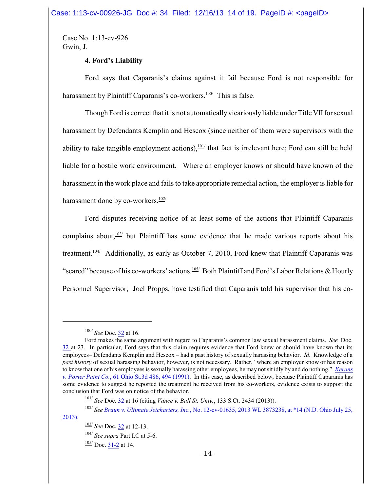### **4. Ford's Liability**

Ford says that Caparanis's claims against it fail because Ford is not responsible for harassment by Plaintiff Caparanis's co-workers.<sup>100/</sup> This is false.

Though Ford is correct that it is not automaticallyvicariouslyliable under Title VIIfor sexual harassment by Defendants Kemplin and Hescox (since neither of them were supervisors with the ability to take tangible employment actions), $\frac{101}{10}$  that fact is irrelevant here; Ford can still be held liable for a hostile work environment. Where an employer knows or should have known of the harassment in the work place and fails to take appropriate remedial action, the employer is liable for harassment done by co-workers. $\frac{102}{ }$ 

Ford disputes receiving notice of at least some of the actions that Plaintiff Caparanis complains about, $103/$  but Plaintiff has some evidence that he made various reports about his treatment.<sup>104/</sup> Additionally, as early as October 7, 2010, Ford knew that Plaintiff Caparanis was "scared" because of his co-workers' actions.<sup>105/</sup> Both Plaintiff and Ford's Labor Relations & Hourly Personnel Supervisor, Joel Propps, have testified that Caparanis told his supervisor that his co-

<sup>100/</sup> *See* Doc. [32](https://ecf.ohnd.uscourts.gov/doc1/14107076826) at 16.

Ford makes the same argument with regard to Caparanis's common law sexual harassment claims. *See* Doc. [32](https://ecf.ohnd.uscourts.gov/doc1/14107076826) at 23. In particular, Ford says that this claim requires evidence that Ford knew or should have known that its employees– Defendants Kemplin and Hescox – had a past history of sexually harassing behavior. *Id.* Knowledge of a *past history* of sexual harassing behavior, however, is not necessary. Rather, "where an employer know or has reason to know that one of his employees is sexually harassing other employees, he may not sit idly by and do nothing." *[Kerans](http://www.westlaw.com/find/default.wl?rs=CLWP3.0&vr=2.0&cite=61+Ohio+St.3d+486) v. Porter Paint Co.*[, 61 Ohio St.3d 486, 494 \(1991\)](http://www.westlaw.com/find/default.wl?rs=CLWP3.0&vr=2.0&cite=61+Ohio+St.3d+486). In this case, as described below, because Plaintiff Caparanis has some evidence to suggest he reported the treatment he received from his co-workers, evidence exists to support the conclusion that Ford was on notice of the behavior.

<sup>101/</sup> *See* Doc. [32](https://ecf.ohnd.uscourts.gov/doc1/14107076826) at 16 (citing *Vance v. Ball St. Univ.*, 133 S.Ct. 2434 (2013)).

<sup>102/</sup> *See Braun [v. Ultimate Jetcharters, Inc.](http://www.westlaw.com/find/default.wl?rs=CLWP3.0&vr=2.0&cite=2013+WL+3873238)*, No. 12-cv-01635, 2013 WL 3873238, at \*14 (N.D. Ohio July 25, [2013\)](http://www.westlaw.com/find/default.wl?rs=CLWP3.0&vr=2.0&cite=2013+WL+3873238).

<sup>103/</sup> *See* Doc. [32](https://ecf.ohnd.uscourts.gov/doc1/14107076826) at 12-13.

<sup>104/</sup> *See supra* Part I.C at 5-6.

 $\frac{105}{ }$  Doc. [31-2](https://ecf.ohnd.uscourts.gov/doc1/14117063931) at 14.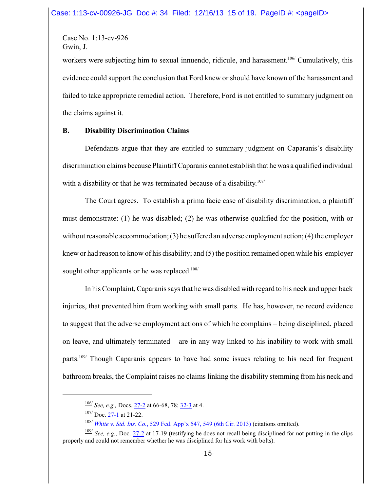workers were subjecting him to sexual innuendo, ridicule, and harassment.<sup>106/</sup> Cumulatively, this evidence could support the conclusion that Ford knew or should have known of the harassment and failed to take appropriate remedial action. Therefore, Ford is not entitled to summary judgment on the claims against it.

### **B. Disability Discrimination Claims**

Defendants argue that they are entitled to summary judgment on Caparanis's disability discrimination claims because Plaintiff Caparanis cannot establish that he was a qualified individual with a disability or that he was terminated because of a disability.<sup>107/</sup>

The Court agrees. To establish a prima facie case of disability discrimination, a plaintiff must demonstrate: (1) he was disabled; (2) he was otherwise qualified for the position, with or without reasonable accommodation; (3) he suffered an adverse employment action; (4) the employer knew or had reason to know of his disability; and (5) the position remained open while his employer sought other applicants or he was replaced.<sup>108/</sup>

In his Complaint, Caparanis says that he was disabled with regard to his neck and upper back injuries, that prevented him from working with small parts. He has, however, no record evidence to suggest that the adverse employment actions of which he complains – being disciplined, placed on leave, and ultimately terminated – are in any way linked to his inability to work with small parts.<sup>109/</sup> Though Caparanis appears to have had some issues relating to his need for frequent bathroom breaks, the Complaint raises no claims linking the disability stemming from his neck and

<sup>106/</sup> *See, e.g.,* Docs. [27-2](https://ecf.ohnd.uscourts.gov/doc1/14117037253) at 66-68, 78; [32-3](https://ecf.ohnd.uscourts.gov/doc1/14117076829) at 4.

 $\frac{107}{100}$  Doc. [27-1](https://ecf.ohnd.uscourts.gov/doc1/14117037252) at 21-22.

 $\frac{108}{108}$  *White v. Std. Ins. Co.*[, 529 Fed. App'x 547, 549 \(6th Cir. 2013\)](http://www.westlaw.com/find/default.wl?rs=CLWP3.0&vr=2.0&cite=2013+WL+3242297) (citations omitted).

 $\frac{109}{102}$  *See, e.g.*, Doc. [27-2](https://ecf.ohnd.uscourts.gov/doc1/14117037253) at 17-19 (testifying he does not recall being disciplined for not putting in the clips properly and could not remember whether he was disciplined for his work with bolts).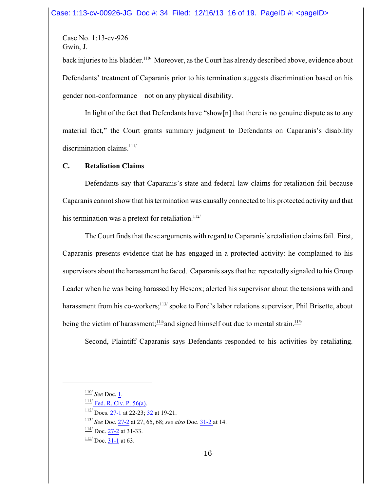back injuries to his bladder.<sup>110/</sup> Moreover, as the Court has already described above, evidence about Defendants' treatment of Caparanis prior to his termination suggests discrimination based on his gender non-conformance – not on any physical disability.

In light of the fact that Defendants have "show[n] that there is no genuine dispute as to any material fact," the Court grants summary judgment to Defendants on Caparanis's disability discrimination claims. $111/$ 

### **C. Retaliation Claims**

Defendants say that Caparanis's state and federal law claims for retaliation fail because Caparanis cannot show that his termination was causally connected to his protected activity and that his termination was a pretext for retaliation. $\frac{112}{12}$ 

The Court finds that these arguments with regard to Caparanis's retaliation claims fail. First, Caparanis presents evidence that he has engaged in a protected activity: he complained to his supervisors about the harassment he faced. Caparanis says that he: repeatedly signaled to his Group Leader when he was being harassed by Hescox; alerted his supervisor about the tensions with and harassment from his co-workers;<sup>113/</sup> spoke to Ford's labor relations supervisor, Phil Brisette, about being the victim of harassment;<sup>114/</sup>and signed himself out due to mental strain.<sup>115/</sup>

Second, Plaintiff Caparanis says Defendants responded to his activities by retaliating.

<sup>&</sup>lt;sup>110/</sup> See Doc. <u>1</u>.

 $\frac{111}{10}$  [Fed. R. Civ. P. 56\(a\)](http://www.westlaw.com/find/default.wl?rs=CLWP3.0&vr=2.0&cite=FRCP+56%28a%29).

 $\frac{112}{12}$  Docs.  $\frac{27-1}{2}$  at 22-23;  $\frac{32}{2}$  at 19-21.

<sup>113/</sup> *See* Doc. [27-2](https://ecf.ohnd.uscourts.gov/doc1/14117037253) at 27, 65, 68; *see also* Doc. [31-2](https://ecf.ohnd.uscourts.gov/doc1/14117063931) at 14.

 $\frac{114}{10}$  Doc.  $\frac{27-2}{10}$  at 31-33.

 $\frac{115}{10}$  Doc.  $\frac{31-1}{10}$  at 63.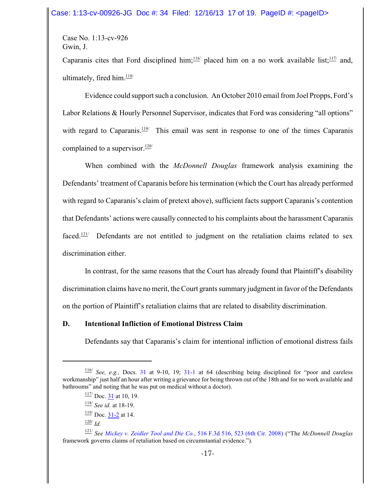Caparanis cites that Ford disciplined him;  $\frac{116}{10}$  placed him on a no work available list;  $\frac{117}{10}$  and, ultimately, fired him.<sup>118/</sup>

Evidence could support such a conclusion. An October 2010 email from Joel Propps, Ford's Labor Relations & Hourly Personnel Supervisor, indicates that Ford was considering "all options" with regard to Caparanis.<sup>119</sup> This email was sent in response to one of the times Caparanis complained to a supervisor. $\frac{120}{120}$ 

When combined with the *McDonnell Douglas* framework analysis examining the Defendants' treatment of Caparanis before his termination (which the Court has already performed with regard to Caparanis's claim of pretext above), sufficient facts support Caparanis's contention that Defendants' actions were causally connected to his complaints about the harassment Caparanis faced.<sup>121/</sup> Defendants are not entitled to judgment on the retaliation claims related to sex discrimination either.

In contrast, for the same reasons that the Court has already found that Plaintiff's disability discrimination claims have no merit, the Court grants summary judgment in favor of the Defendants on the portion of Plaintiff's retaliation claims that are related to disability discrimination.

### **D. Intentional Infliction of Emotional Distress Claim**

Defendants say that Caparanis's claim for intentional infliction of emotional distress fails

 $\frac{116}{16}$  See, e.g., Docs. [31](https://ecf.ohnd.uscourts.gov/doc1/14107063929) at 9-10, 19; [31-1](https://ecf.ohnd.uscourts.gov/doc1/14117063930) at 64 (describing being disciplined for "poor and careless workmanship" just half an hour after writing a grievance for being thrown out of the 18th and for no work available and bathrooms" and noting that he was put on medical without a doctor).

 $\frac{117}{10}$  Doc.  $\frac{31}{10}$  at 10, 19.

<sup>118/</sup> *See id.* at 18-19.

 $\frac{119}{12}$  Doc.  $\frac{31-2}{12}$  at 14.

<sup>120/</sup> *Id.*

<sup>121/</sup> *See [Mickey v. Zeidler Tool and Die Co.](https://a.next.westlaw.com/Link/Document/FullText?findType=Y&serNum=2014959345&pubNum=506&originationContext=document&transitionType=DocumentItem&contextData=%28sc.Search%29#co_pp_sp_506_523)*, 516 F.3d 516, 523 (6th Cir. 2008) ("The *McDonnell Douglas* framework governs claims of retaliation based on circumstantial evidence.").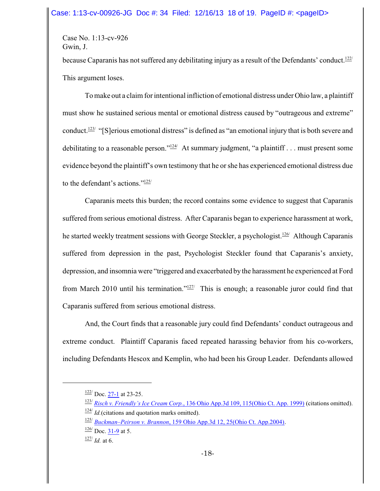because Caparanis has not suffered any debilitating injury as a result of the Defendants' conduct.<sup>122/</sup> This argument loses.

To make out a claim for intentional infliction of emotional distress under Ohio law, a plaintiff must show he sustained serious mental or emotional distress caused by "outrageous and extreme" conduct.<sup>123/</sup> "[S]erious emotional distress" is defined as "an emotional injury that is both severe and debilitating to a reasonable person." $\frac{124}{4}$  At summary judgment, "a plaintiff . . . must present some evidence beyond the plaintiff's own testimony that he or she has experienced emotional distress due to the defendant's actions."<sup>125/</sup>

Caparanis meets this burden; the record contains some evidence to suggest that Caparanis suffered from serious emotional distress. After Caparanis began to experience harassment at work, he started weekly treatment sessions with George Steckler, a psychologist.<sup>126/</sup> Although Caparanis suffered from depression in the past, Psychologist Steckler found that Caparanis's anxiety, depression, and insomnia were "triggered and exacerbated by the harassment he experienced at Ford from March 2010 until his termination." $127/27$  This is enough; a reasonable juror could find that Caparanis suffered from serious emotional distress.

And, the Court finds that a reasonable jury could find Defendants' conduct outrageous and extreme conduct. Plaintiff Caparanis faced repeated harassing behavior from his co-workers, including Defendants Hescox and Kemplin, who had been his Group Leader. Defendants allowed

 $\frac{122}{122}$  Doc. [27-1](https://ecf.ohnd.uscourts.gov/doc1/14117037252) at 23-25.

<sup>123/</sup> *Risch [v. Friendly's Ice Cream](http://www.westlaw.com/find/default.wl?rs=CLWP3.0&vr=2.0&cite=136+Ohio+App.3d+109) Corp.*, 136 Ohio App.3d 109, 115(Ohio Ct. App. 1999) (citations omitted).  $\frac{124}{124}$  *Id.*(citations and quotation marks omitted).

<sup>125/</sup> *Buckman–Peirson v. Brannon*[, 159 Ohio App.3d 12, 25\(Ohio Ct. App.2004\)](http://www.westlaw.com/find/default.wl?rs=CLWP3.0&vr=2.0&cite=159+Ohio+App.3d+12).

 $\frac{126}{120}$  Doc. [31-9](https://ecf.ohnd.uscourts.gov/doc1/14117063938) at 5.

 $\frac{127}{127}$  *Id.* at 6.